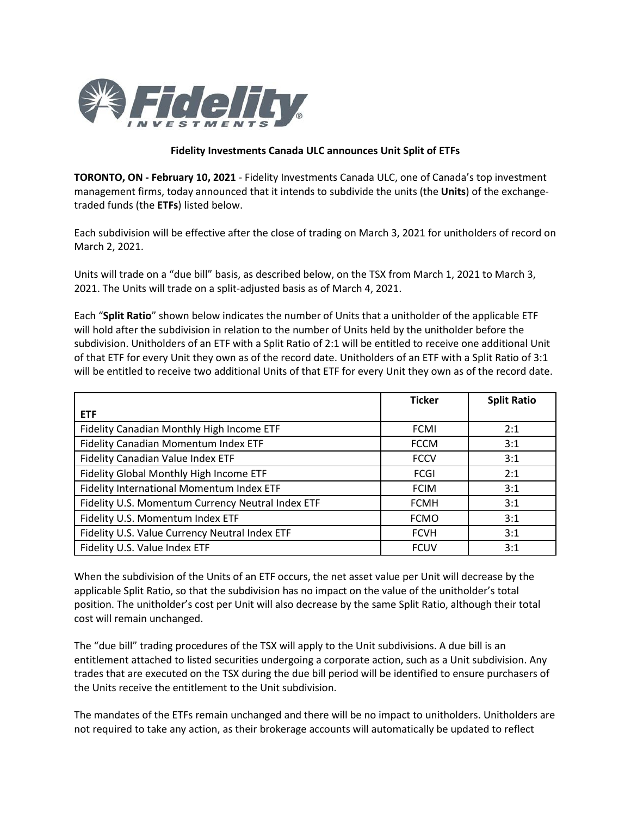

## **Fidelity Investments Canada ULC announces Unit Split of ETFs**

**TORONTO, ON - February 10, 2021** - Fidelity Investments Canada ULC, one of Canada's top investment management firms, today announced that it intends to subdivide the units (the **Units**) of the exchangetraded funds (the **ETFs**) listed below.

Each subdivision will be effective after the close of trading on March 3, 2021 for unitholders of record on March 2, 2021.

Units will trade on a "due bill" basis, as described below, on the TSX from March 1, 2021 to March 3, 2021. The Units will trade on a split-adjusted basis as of March 4, 2021.

Each "**Split Ratio**" shown below indicates the number of Units that a unitholder of the applicable ETF will hold after the subdivision in relation to the number of Units held by the unitholder before the subdivision. Unitholders of an ETF with a Split Ratio of 2:1 will be entitled to receive one additional Unit of that ETF for every Unit they own as of the record date. Unitholders of an ETF with a Split Ratio of 3:1 will be entitled to receive two additional Units of that ETF for every Unit they own as of the record date.

|                                                   | <b>Ticker</b> | <b>Split Ratio</b> |
|---------------------------------------------------|---------------|--------------------|
| <b>ETF</b>                                        |               |                    |
| Fidelity Canadian Monthly High Income ETF         | <b>FCMI</b>   | 2:1                |
| Fidelity Canadian Momentum Index ETF              | <b>FCCM</b>   | 3:1                |
| Fidelity Canadian Value Index ETF                 | <b>FCCV</b>   | 3:1                |
| Fidelity Global Monthly High Income ETF           | <b>FCGI</b>   | 2:1                |
| Fidelity International Momentum Index ETF         | <b>FCIM</b>   | 3:1                |
| Fidelity U.S. Momentum Currency Neutral Index ETF | <b>FCMH</b>   | 3:1                |
| Fidelity U.S. Momentum Index ETF                  | <b>FCMO</b>   | 3:1                |
| Fidelity U.S. Value Currency Neutral Index ETF    | <b>FCVH</b>   | 3:1                |
| Fidelity U.S. Value Index ETF                     | <b>FCUV</b>   | 3:1                |

When the subdivision of the Units of an ETF occurs, the net asset value per Unit will decrease by the applicable Split Ratio, so that the subdivision has no impact on the value of the unitholder's total position. The unitholder's cost per Unit will also decrease by the same Split Ratio, although their total cost will remain unchanged.

The "due bill" trading procedures of the TSX will apply to the Unit subdivisions. A due bill is an entitlement attached to listed securities undergoing a corporate action, such as a Unit subdivision. Any trades that are executed on the TSX during the due bill period will be identified to ensure purchasers of the Units receive the entitlement to the Unit subdivision.

The mandates of the ETFs remain unchanged and there will be no impact to unitholders. Unitholders are not required to take any action, as their brokerage accounts will automatically be updated to reflect